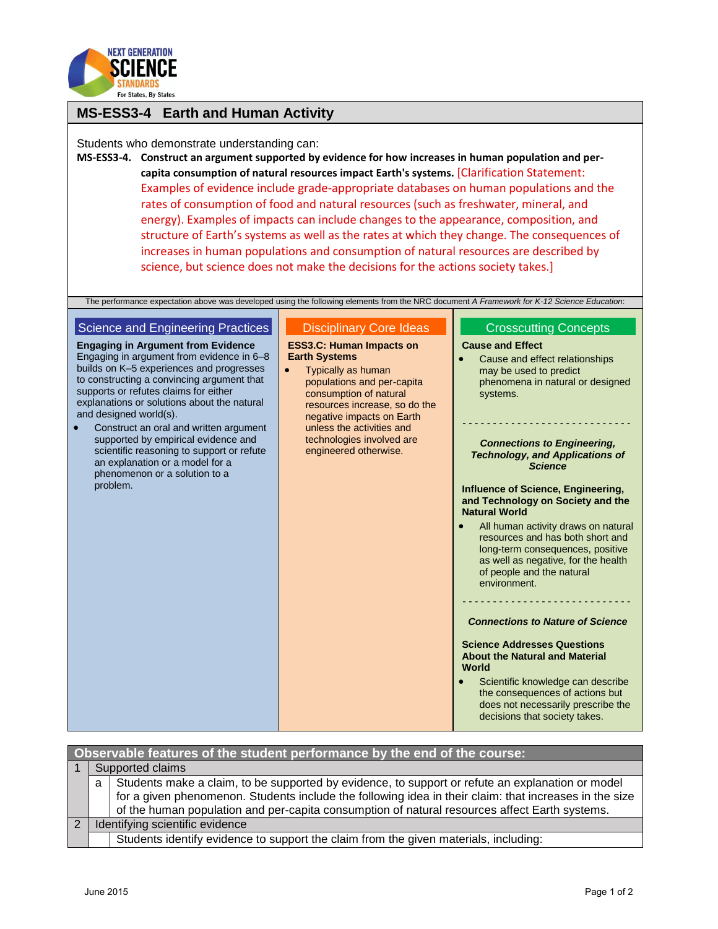

## **MS-ESS3-4 Earth and Human Activity**

Students who demonstrate understanding can:

**MS-ESS3-4. Construct an argument supported by evidence for how increases in human population and percapita consumption of natural resources impact Earth's systems.** [Clarification Statement: Examples of evidence include grade-appropriate databases on human populations and the rates of consumption of food and natural resources (such as freshwater, mineral, and energy). Examples of impacts can include changes to the appearance, composition, and structure of Earth's systems as well as the rates at which they change. The consequences of increases in human populations and consumption of natural resources are described by science, but science does not make the decisions for the actions society takes.]

The performance expectation above was developed using the following elements from the NRC document *A Framework for K-12 Science Education*:

## Science and Engineering Practices **Engaging in Argument from Evidence** Engaging in argument from evidence in 6–8 builds on K–5 experiences and progresses to constructing a convincing argument that supports or refutes claims for either explanations or solutions about the natural and designed world(s). Construct an oral and written argument supported by empirical evidence and scientific reasoning to support or refute an explanation or a model for a phenomenon or a solution to a problem. Disciplinary Core Ideas **ESS3.C: Human Impacts on Earth Systems** Typically as human populations and per-capita consumption of natural resources increase, so do the negative impacts on Earth unless the activities and technologies involved are engineered otherwise. Crosscutting Concepts **Cause and Effect** Cause and effect relationships may be used to predict phenomena in natural or designed systems. - - - - - - - - - - - - - - - - - - - - - - - - - - - - *Connections to Engineering, Technology, and Applications of Science* **Influence of Science, Engineering, and Technology on Society and the Natural World** All human activity draws on natural resources and has both short and long-term consequences, positive as well as negative, for the health of people and the natural environment. - - - - - - - - - - - - - - - - - - - - - - - - - - - - *Connections to Nature of Science* **Science Addresses Questions About the Natural and Material World** Scientific knowledge can describe the consequences of actions but does not necessarily prescribe the decisions that society takes.

| Observable features of the student performance by the end of the course: |                                 |                                                                                                        |  |  |
|--------------------------------------------------------------------------|---------------------------------|--------------------------------------------------------------------------------------------------------|--|--|
|                                                                          | Supported claims                |                                                                                                        |  |  |
|                                                                          | a l                             | Students make a claim, to be supported by evidence, to support or refute an explanation or model       |  |  |
|                                                                          |                                 | for a given phenomenon. Students include the following idea in their claim: that increases in the size |  |  |
|                                                                          |                                 | of the human population and per-capita consumption of natural resources affect Earth systems.          |  |  |
| 2                                                                        | Identifying scientific evidence |                                                                                                        |  |  |
|                                                                          |                                 | Students identify evidence to support the claim from the given materials, including:                   |  |  |